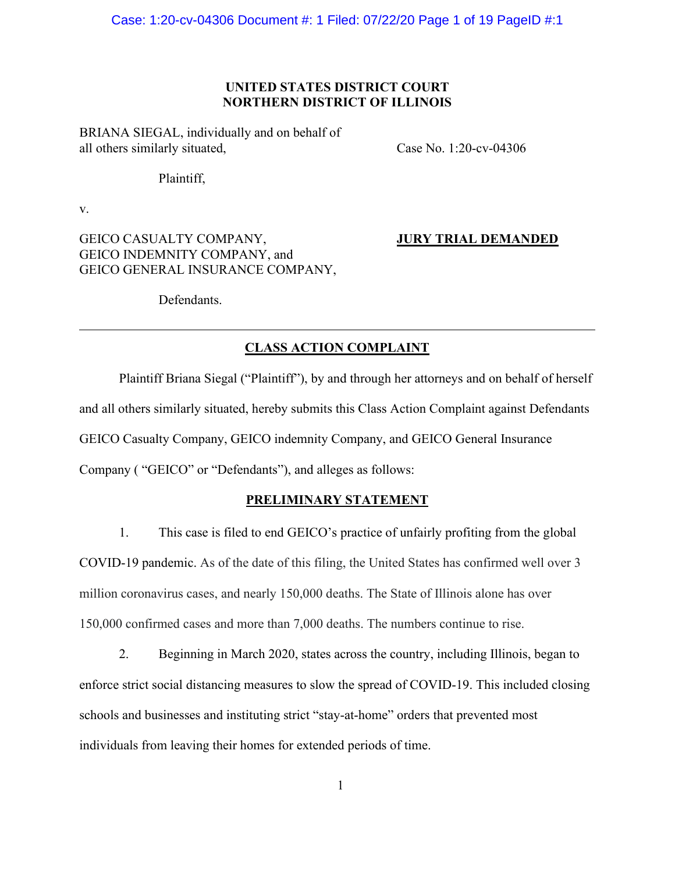Case: 1:20-cv-04306 Document #: 1 Filed: 07/22/20 Page 1 of 19 PageID #:1

# **UNITED STATES DISTRICT COURT NORTHERN DISTRICT OF ILLINOIS**

BRIANA SIEGAL, individually and on behalf of all others similarly situated, Case No. 1:20-cv-04306

Plaintiff,

v.

GEICO CASUALTY COMPANY, **JURY TRIAL DEMANDED** GEICO INDEMNITY COMPANY, and GEICO GENERAL INSURANCE COMPANY,

Defendants.

# **CLASS ACTION COMPLAINT**

Plaintiff Briana Siegal ("Plaintiff"), by and through her attorneys and on behalf of herself and all others similarly situated, hereby submits this Class Action Complaint against Defendants GEICO Casualty Company, GEICO indemnity Company, and GEICO General Insurance Company ( "GEICO" or "Defendants"), and alleges as follows:

#### **PRELIMINARY STATEMENT**

1. This case is filed to end GEICO's practice of unfairly profiting from the global COVID-19 pandemic. As of the date of this filing, the United States has confirmed well over 3 million coronavirus cases, and nearly 150,000 deaths. The State of Illinois alone has over 150,000 confirmed cases and more than 7,000 deaths. The numbers continue to rise.

2. Beginning in March 2020, states across the country, including Illinois, began to enforce strict social distancing measures to slow the spread of COVID-19. This included closing schools and businesses and instituting strict "stay-at-home" orders that prevented most individuals from leaving their homes for extended periods of time.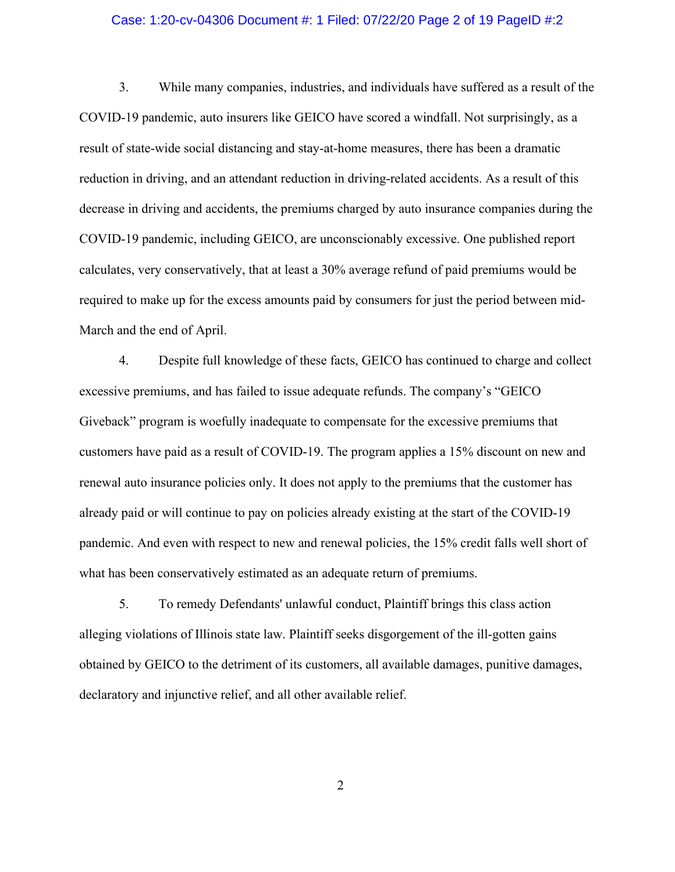#### Case: 1:20-cv-04306 Document #: 1 Filed: 07/22/20 Page 2 of 19 PageID #:2

3. While many companies, industries, and individuals have suffered as a result of the COVID-19 pandemic, auto insurers like GEICO have scored a windfall. Not surprisingly, as a result of state-wide social distancing and stay-at-home measures, there has been a dramatic reduction in driving, and an attendant reduction in driving-related accidents. As a result of this decrease in driving and accidents, the premiums charged by auto insurance companies during the COVID-19 pandemic, including GEICO, are unconscionably excessive. One published report calculates, very conservatively, that at least a 30% average refund of paid premiums would be required to make up for the excess amounts paid by consumers for just the period between mid-March and the end of April.

4. Despite full knowledge of these facts, GEICO has continued to charge and collect excessive premiums, and has failed to issue adequate refunds. The company's "GEICO Giveback" program is woefully inadequate to compensate for the excessive premiums that customers have paid as a result of COVID-19. The program applies a 15% discount on new and renewal auto insurance policies only. It does not apply to the premiums that the customer has already paid or will continue to pay on policies already existing at the start of the COVID-19 pandemic. And even with respect to new and renewal policies, the 15% credit falls well short of what has been conservatively estimated as an adequate return of premiums.

5. To remedy Defendants' unlawful conduct, Plaintiff brings this class action alleging violations of Illinois state law. Plaintiff seeks disgorgement of the ill-gotten gains obtained by GEICO to the detriment of its customers, all available damages, punitive damages, declaratory and injunctive relief, and all other available relief.

2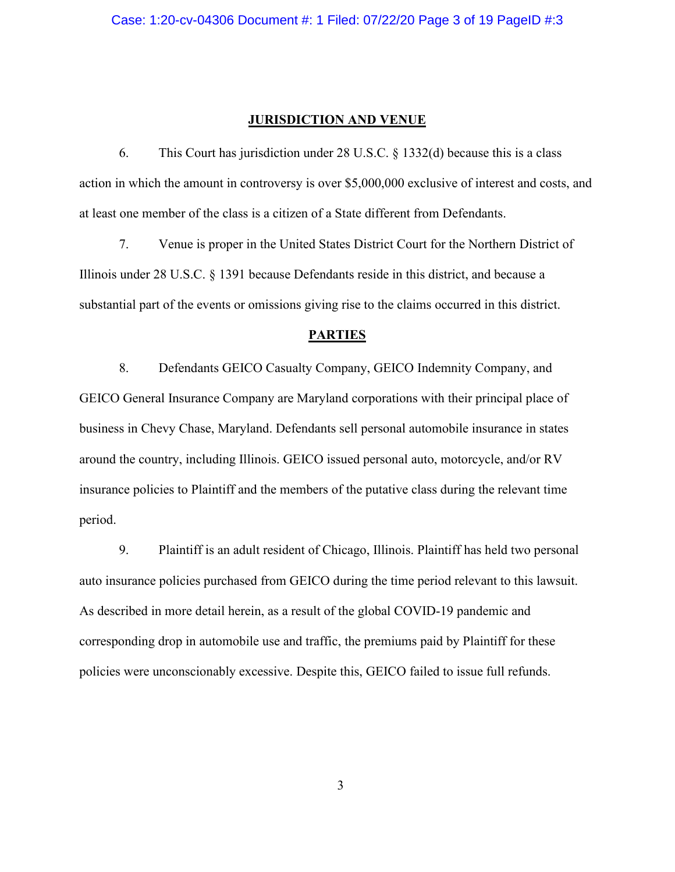#### **JURISDICTION AND VENUE**

6. This Court has jurisdiction under 28 U.S.C. § 1332(d) because this is a class action in which the amount in controversy is over \$5,000,000 exclusive of interest and costs, and at least one member of the class is a citizen of a State different from Defendants.

7. Venue is proper in the United States District Court for the Northern District of Illinois under 28 U.S.C. § 1391 because Defendants reside in this district, and because a substantial part of the events or omissions giving rise to the claims occurred in this district.

## **PARTIES**

8. Defendants GEICO Casualty Company, GEICO Indemnity Company, and GEICO General Insurance Company are Maryland corporations with their principal place of business in Chevy Chase, Maryland. Defendants sell personal automobile insurance in states around the country, including Illinois. GEICO issued personal auto, motorcycle, and/or RV insurance policies to Plaintiff and the members of the putative class during the relevant time period.

9. Plaintiff is an adult resident of Chicago, Illinois. Plaintiff has held two personal auto insurance policies purchased from GEICO during the time period relevant to this lawsuit. As described in more detail herein, as a result of the global COVID-19 pandemic and corresponding drop in automobile use and traffic, the premiums paid by Plaintiff for these policies were unconscionably excessive. Despite this, GEICO failed to issue full refunds.

3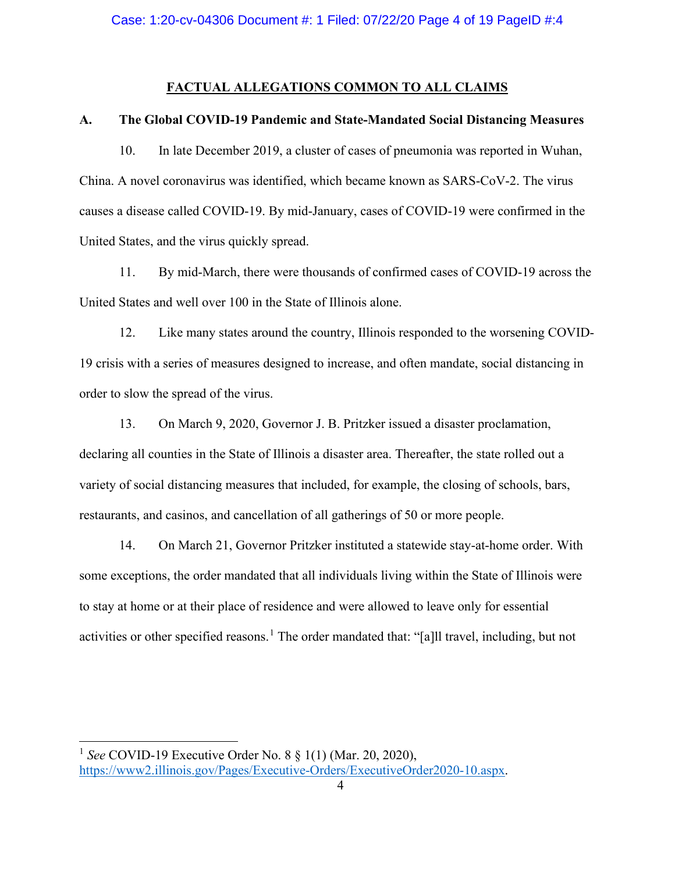## **FACTUAL ALLEGATIONS COMMON TO ALL CLAIMS**

#### **A. The Global COVID-19 Pandemic and State-Mandated Social Distancing Measures**

10. In late December 2019, a cluster of cases of pneumonia was reported in Wuhan, China. A novel coronavirus was identified, which became known as SARS-CoV-2. The virus causes a disease called COVID-19. By mid-January, cases of COVID-19 were confirmed in the United States, and the virus quickly spread.

11. By mid-March, there were thousands of confirmed cases of COVID-19 across the United States and well over 100 in the State of Illinois alone.

12. Like many states around the country, Illinois responded to the worsening COVID-19 crisis with a series of measures designed to increase, and often mandate, social distancing in order to slow the spread of the virus.

13. On March 9, 2020, Governor J. B. Pritzker issued a disaster proclamation, declaring all counties in the State of Illinois a disaster area. Thereafter, the state rolled out a variety of social distancing measures that included, for example, the closing of schools, bars, restaurants, and casinos, and cancellation of all gatherings of 50 or more people.

14. On March 21, Governor Pritzker instituted a statewide stay-at-home order. With some exceptions, the order mandated that all individuals living within the State of Illinois were to stay at home or at their place of residence and were allowed to leave only for essential activities or other specified reasons.<sup>[1](#page-3-0)</sup> The order mandated that: "[a] travel, including, but not

<span id="page-3-0"></span><sup>1</sup> *See* COVID-19 Executive Order No. 8 § 1(1) (Mar. 20, 2020), [https://www2.illinois.gov/Pages/Executive-Orders/ExecutiveOrder2020-10.aspx.](https://www2.illinois.gov/Pages/Executive-Orders/ExecutiveOrder2020-10.aspx)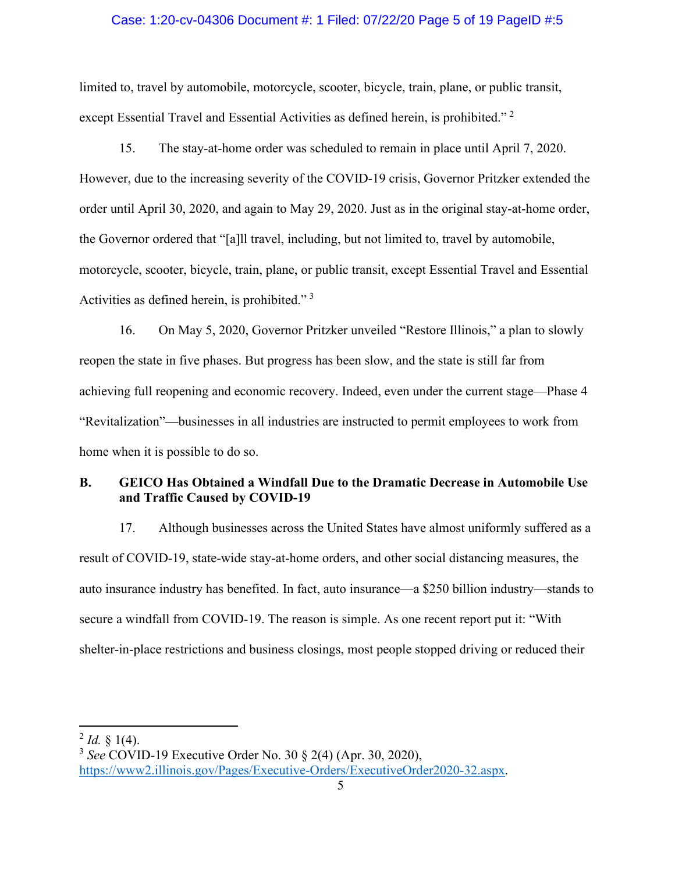#### Case: 1:20-cv-04306 Document #: 1 Filed: 07/22/20 Page 5 of 19 PageID #:5

limited to, travel by automobile, motorcycle, scooter, bicycle, train, plane, or public transit, except Essential Travel and Essential Activities as defined herein, is prohibited." [2](#page-4-0)

15. The stay-at-home order was scheduled to remain in place until April 7, 2020. However, due to the increasing severity of the COVID-19 crisis, Governor Pritzker extended the order until April 30, 2020, and again to May 29, 2020. Just as in the original stay-at-home order, the Governor ordered that "[a]ll travel, including, but not limited to, travel by automobile, motorcycle, scooter, bicycle, train, plane, or public transit, except Essential Travel and Essential Activities as defined herein, is prohibited."<sup>[3](#page-4-1)</sup>

16. On May 5, 2020, Governor Pritzker unveiled "Restore Illinois," a plan to slowly reopen the state in five phases. But progress has been slow, and the state is still far from achieving full reopening and economic recovery. Indeed, even under the current stage—Phase 4 "Revitalization"—businesses in all industries are instructed to permit employees to work from home when it is possible to do so.

# **B. GEICO Has Obtained a Windfall Due to the Dramatic Decrease in Automobile Use and Traffic Caused by COVID-19**

17. Although businesses across the United States have almost uniformly suffered as a result of COVID-19, state-wide stay-at-home orders, and other social distancing measures, the auto insurance industry has benefited. In fact, auto insurance—a \$250 billion industry—stands to secure a windfall from COVID-19. The reason is simple. As one recent report put it: "With shelter-in-place restrictions and business closings, most people stopped driving or reduced their

<span id="page-4-0"></span> $^{2}$  *Id.* § 1(4).

<span id="page-4-1"></span><sup>3</sup> *See* COVID-19 Executive Order No. 30 § 2(4) (Apr. 30, 2020),

[https://www2.illinois.gov/Pages/Executive-Orders/ExecutiveOrder2020-32.aspx.](https://www2.illinois.gov/Pages/Executive-Orders/ExecutiveOrder2020-32.aspx)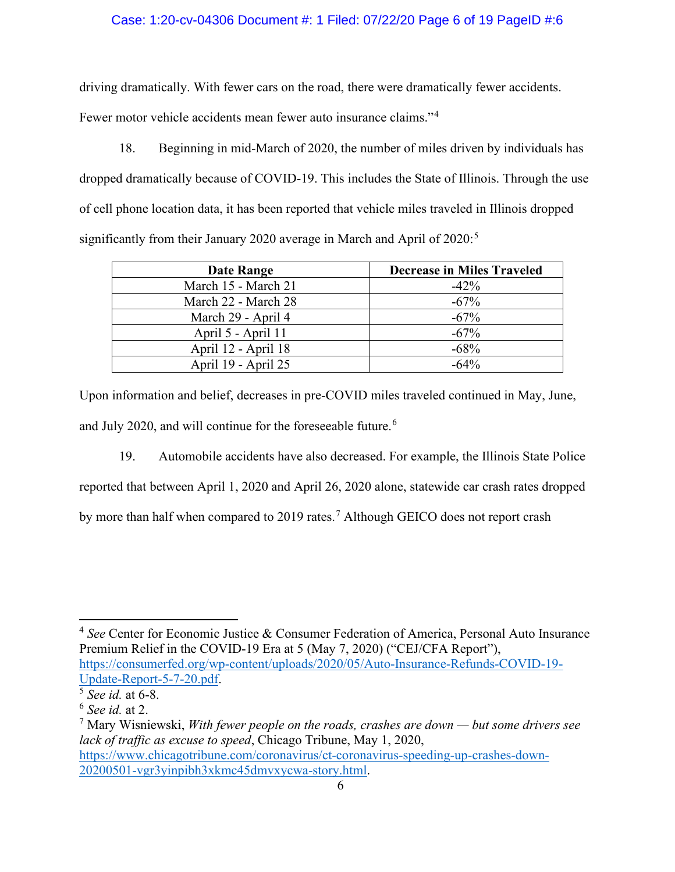# Case: 1:20-cv-04306 Document #: 1 Filed: 07/22/20 Page 6 of 19 PageID #:6

driving dramatically. With fewer cars on the road, there were dramatically fewer accidents.

Fewer motor vehicle accidents mean fewer auto insurance claims."<sup>[4](#page-5-0)</sup>

18. Beginning in mid-March of 2020, the number of miles driven by individuals has dropped dramatically because of COVID-19. This includes the State of Illinois. Through the use of cell phone location data, it has been reported that vehicle miles traveled in Illinois dropped significantly from their January 2020 average in March and April of  $2020$ :<sup>[5](#page-5-1)</sup>

| Date Range          | <b>Decrease in Miles Traveled</b> |
|---------------------|-----------------------------------|
| March 15 - March 21 | $-42\%$                           |
| March 22 - March 28 | $-67%$                            |
| March 29 - April 4  | $-67\%$                           |
| April 5 - April 11  | $-67%$                            |
| April 12 - April 18 | $-68%$                            |
| April 19 - April 25 | $-64%$                            |

Upon information and belief, decreases in pre-COVID miles traveled continued in May, June, and July 2020, and will continue for the foreseeable future.<sup>[6](#page-5-2)</sup>

19. Automobile accidents have also decreased. For example, the Illinois State Police reported that between April 1, 2020 and April 26, 2020 alone, statewide car crash rates dropped by more than half when compared to 2019 rates.<sup>[7](#page-5-3)</sup> Although GEICO does not report crash

<span id="page-5-0"></span><sup>4</sup> *See* Center for Economic Justice & Consumer Federation of America, Personal Auto Insurance Premium Relief in the COVID-19 Era at 5 (May 7, 2020) ("CEJ/CFA Report"), [https://consumerfed.org/wp-content/uploads/2020/05/Auto-Insurance-Refunds-COVID-19-](https://consumerfed.org/wp-content/uploads/2020/05/Auto-Insurance-Refunds-COVID-19-Update-Report-5-7-20.pdf) [Update-Report-5-7-20.pdf.](https://consumerfed.org/wp-content/uploads/2020/05/Auto-Insurance-Refunds-COVID-19-Update-Report-5-7-20.pdf) 5 *See id.* at 6-8.

<span id="page-5-1"></span>

<span id="page-5-2"></span><sup>6</sup> *See id.* at 2.

<span id="page-5-3"></span><sup>7</sup> Mary Wisniewski, *With fewer people on the roads, crashes are down — but some drivers see lack of traffic as excuse to speed*, Chicago Tribune, May 1, 2020, [https://www.chicagotribune.com/coronavirus/ct-coronavirus-speeding-up-crashes-down-](https://www.chicagotribune.com/coronavirus/ct-coronavirus-speeding-up-crashes-down-20200501-vgr3yinpibh3xkmc45dmvxycwa-story.html)[20200501-vgr3yinpibh3xkmc45dmvxycwa-story.html.](https://www.chicagotribune.com/coronavirus/ct-coronavirus-speeding-up-crashes-down-20200501-vgr3yinpibh3xkmc45dmvxycwa-story.html)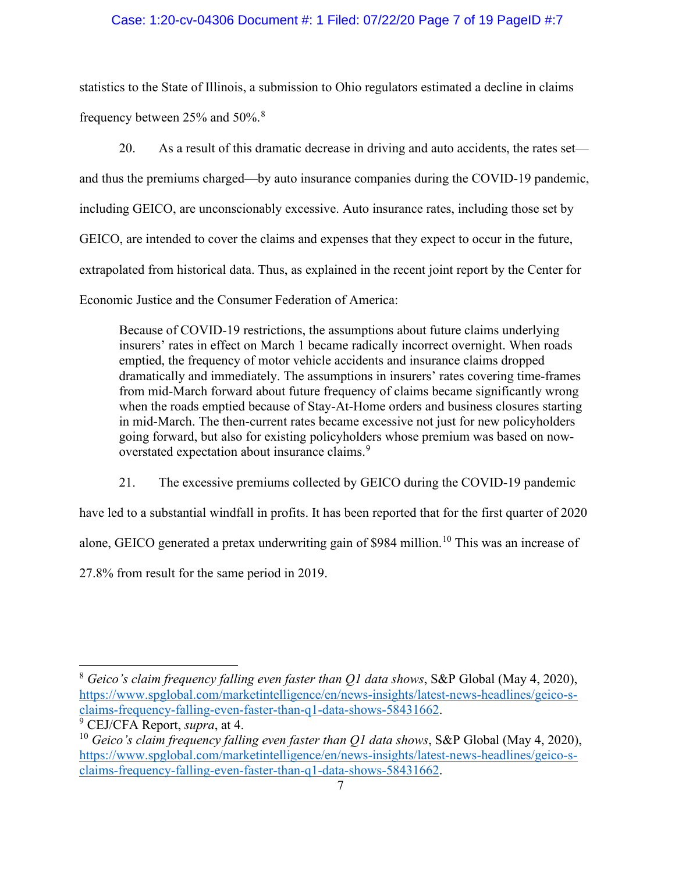# Case: 1:20-cv-04306 Document #: 1 Filed: 07/22/20 Page 7 of 19 PageID #:7

statistics to the State of Illinois, a submission to Ohio regulators estimated a decline in claims frequency between 25% and 50%.[8](#page-6-0)

20. As a result of this dramatic decrease in driving and auto accidents, the rates set and thus the premiums charged—by auto insurance companies during the COVID-19 pandemic, including GEICO, are unconscionably excessive. Auto insurance rates, including those set by GEICO, are intended to cover the claims and expenses that they expect to occur in the future, extrapolated from historical data. Thus, as explained in the recent joint report by the Center for Economic Justice and the Consumer Federation of America:

Because of COVID-19 restrictions, the assumptions about future claims underlying insurers' rates in effect on March 1 became radically incorrect overnight. When roads emptied, the frequency of motor vehicle accidents and insurance claims dropped dramatically and immediately. The assumptions in insurers' rates covering time-frames from mid-March forward about future frequency of claims became significantly wrong when the roads emptied because of Stay-At-Home orders and business closures starting in mid-March. The then-current rates became excessive not just for new policyholders going forward, but also for existing policyholders whose premium was based on now-overstated expectation about insurance claims.<sup>[9](#page-6-1)</sup>

21. The excessive premiums collected by GEICO during the COVID-19 pandemic

have led to a substantial windfall in profits. It has been reported that for the first quarter of 2020

alone, GEICO generated a pretax underwriting gain of \$984 million.<sup>[10](#page-6-2)</sup> This was an increase of

27.8% from result for the same period in 2019.

<span id="page-6-0"></span><sup>8</sup> *Geico's claim frequency falling even faster than Q1 data shows*, S&P Global (May 4, 2020), [https://www.spglobal.com/marketintelligence/en/news-insights/latest-news-headlines/geico-s](https://www.spglobal.com/marketintelligence/en/news-insights/latest-news-headlines/geico-s-claims-frequency-falling-even-faster-than-q1-data-shows-58431662)[claims-frequency-falling-even-faster-than-q1-data-shows-58431662.](https://www.spglobal.com/marketintelligence/en/news-insights/latest-news-headlines/geico-s-claims-frequency-falling-even-faster-than-q1-data-shows-58431662) 9 CEJ/CFA Report, *supra*, at 4.

<span id="page-6-1"></span>

<span id="page-6-2"></span><sup>10</sup> *Geico's claim frequency falling even faster than Q1 data shows*, S&P Global (May 4, 2020), [https://www.spglobal.com/marketintelligence/en/news-insights/latest-news-headlines/geico-s](https://www.spglobal.com/marketintelligence/en/news-insights/latest-news-headlines/geico-s-claims-frequency-falling-even-faster-than-q1-data-shows-58431662)[claims-frequency-falling-even-faster-than-q1-data-shows-58431662.](https://www.spglobal.com/marketintelligence/en/news-insights/latest-news-headlines/geico-s-claims-frequency-falling-even-faster-than-q1-data-shows-58431662)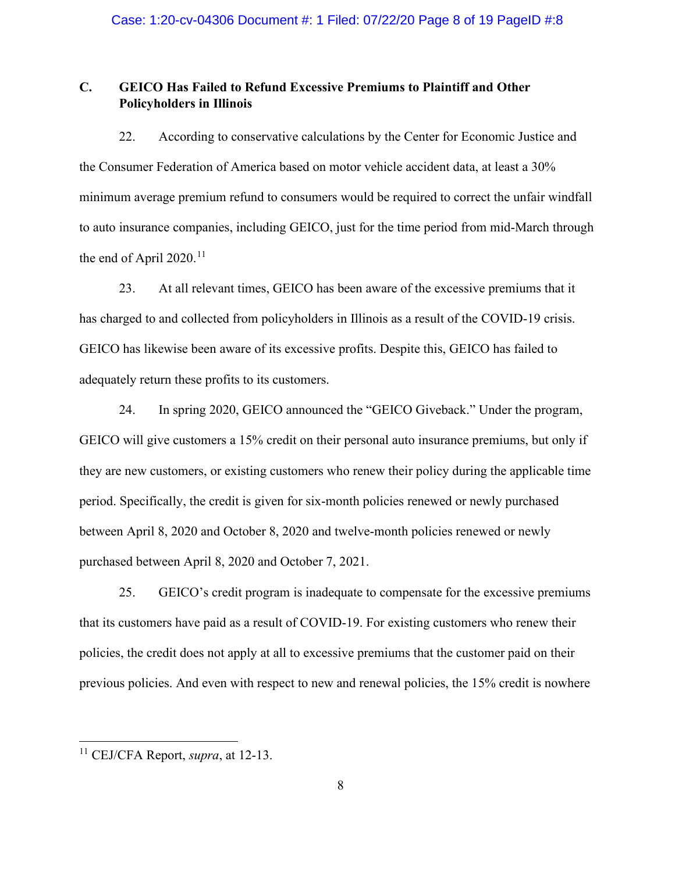# **C. GEICO Has Failed to Refund Excessive Premiums to Plaintiff and Other Policyholders in Illinois**

22. According to conservative calculations by the Center for Economic Justice and the Consumer Federation of America based on motor vehicle accident data, at least a 30% minimum average premium refund to consumers would be required to correct the unfair windfall to auto insurance companies, including GEICO, just for the time period from mid-March through the end of April 2020.<sup>[11](#page-7-0)</sup>

23. At all relevant times, GEICO has been aware of the excessive premiums that it has charged to and collected from policyholders in Illinois as a result of the COVID-19 crisis. GEICO has likewise been aware of its excessive profits. Despite this, GEICO has failed to adequately return these profits to its customers.

24. In spring 2020, GEICO announced the "GEICO Giveback." Under the program, GEICO will give customers a 15% credit on their personal auto insurance premiums, but only if they are new customers, or existing customers who renew their policy during the applicable time period. Specifically, the credit is given for six-month policies renewed or newly purchased between April 8, 2020 and October 8, 2020 and twelve-month policies renewed or newly purchased between April 8, 2020 and October 7, 2021.

25. GEICO's credit program is inadequate to compensate for the excessive premiums that its customers have paid as a result of COVID-19. For existing customers who renew their policies, the credit does not apply at all to excessive premiums that the customer paid on their previous policies. And even with respect to new and renewal policies, the 15% credit is nowhere

<span id="page-7-0"></span><sup>11</sup> CEJ/CFA Report, *supra*, at 12-13.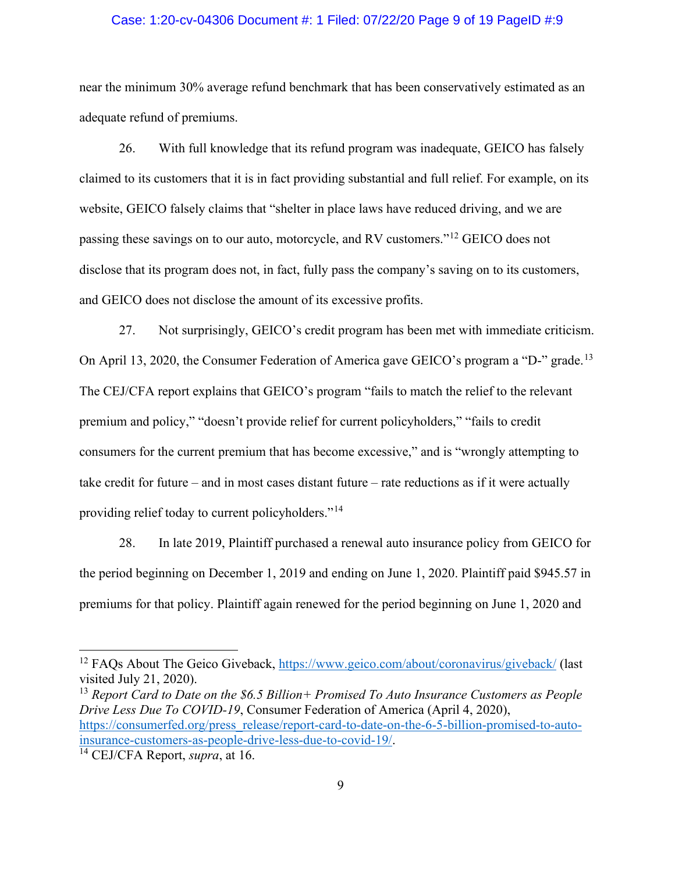#### Case: 1:20-cv-04306 Document #: 1 Filed: 07/22/20 Page 9 of 19 PageID #:9

near the minimum 30% average refund benchmark that has been conservatively estimated as an adequate refund of premiums.

26. With full knowledge that its refund program was inadequate, GEICO has falsely claimed to its customers that it is in fact providing substantial and full relief. For example, on its website, GEICO falsely claims that "shelter in place laws have reduced driving, and we are passing these savings on to our auto, motorcycle, and RV customers."[12](#page-8-0) GEICO does not disclose that its program does not, in fact, fully pass the company's saving on to its customers, and GEICO does not disclose the amount of its excessive profits.

27. Not surprisingly, GEICO's credit program has been met with immediate criticism. On April [13](#page-8-1), 2020, the Consumer Federation of America gave GEICO's program a "D-" grade.<sup>13</sup> The CEJ/CFA report explains that GEICO's program "fails to match the relief to the relevant premium and policy," "doesn't provide relief for current policyholders," "fails to credit consumers for the current premium that has become excessive," and is "wrongly attempting to take credit for future – and in most cases distant future – rate reductions as if it were actually providing relief today to current policyholders."[14](#page-8-2)

28. In late 2019, Plaintiff purchased a renewal auto insurance policy from GEICO for the period beginning on December 1, 2019 and ending on June 1, 2020. Plaintiff paid \$945.57 in premiums for that policy. Plaintiff again renewed for the period beginning on June 1, 2020 and

<span id="page-8-1"></span><sup>13</sup> *Report Card to Date on the \$6.5 Billion+ Promised To Auto Insurance Customers as People Drive Less Due To COVID-19*, Consumer Federation of America (April 4, 2020), [https://consumerfed.org/press\\_release/report-card-to-date-on-the-6-5-billion-promised-to-auto](https://consumerfed.org/press_release/report-card-to-date-on-the-6-5-billion-promised-to-auto-insurance-customers-as-people-drive-less-due-to-covid-19/)[insurance-customers-as-people-drive-less-due-to-covid-19/.](https://consumerfed.org/press_release/report-card-to-date-on-the-6-5-billion-promised-to-auto-insurance-customers-as-people-drive-less-due-to-covid-19/)

<span id="page-8-0"></span><sup>&</sup>lt;sup>12</sup> FAOs About The Geico Giveback,<https://www.geico.com/about/coronavirus/giveback/> (last visited July 21, 2020).

<span id="page-8-2"></span><sup>14</sup> CEJ/CFA Report, *supra*, at 16.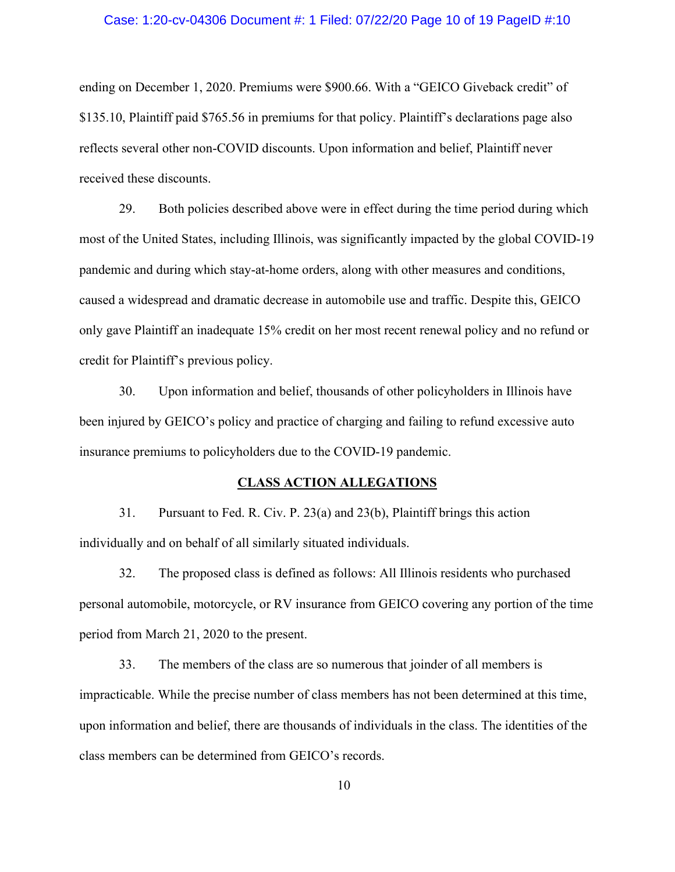# Case: 1:20-cv-04306 Document #: 1 Filed: 07/22/20 Page 10 of 19 PageID #:10

ending on December 1, 2020. Premiums were \$900.66. With a "GEICO Giveback credit" of \$135.10, Plaintiff paid \$765.56 in premiums for that policy. Plaintiff's declarations page also reflects several other non-COVID discounts. Upon information and belief, Plaintiff never received these discounts.

29. Both policies described above were in effect during the time period during which most of the United States, including Illinois, was significantly impacted by the global COVID-19 pandemic and during which stay-at-home orders, along with other measures and conditions, caused a widespread and dramatic decrease in automobile use and traffic. Despite this, GEICO only gave Plaintiff an inadequate 15% credit on her most recent renewal policy and no refund or credit for Plaintiff's previous policy.

30. Upon information and belief, thousands of other policyholders in Illinois have been injured by GEICO's policy and practice of charging and failing to refund excessive auto insurance premiums to policyholders due to the COVID-19 pandemic.

#### **CLASS ACTION ALLEGATIONS**

31. Pursuant to Fed. R. Civ. P. 23(a) and 23(b), Plaintiff brings this action individually and on behalf of all similarly situated individuals.

32. The proposed class is defined as follows: All Illinois residents who purchased personal automobile, motorcycle, or RV insurance from GEICO covering any portion of the time period from March 21, 2020 to the present.

33. The members of the class are so numerous that joinder of all members is impracticable. While the precise number of class members has not been determined at this time, upon information and belief, there are thousands of individuals in the class. The identities of the class members can be determined from GEICO's records.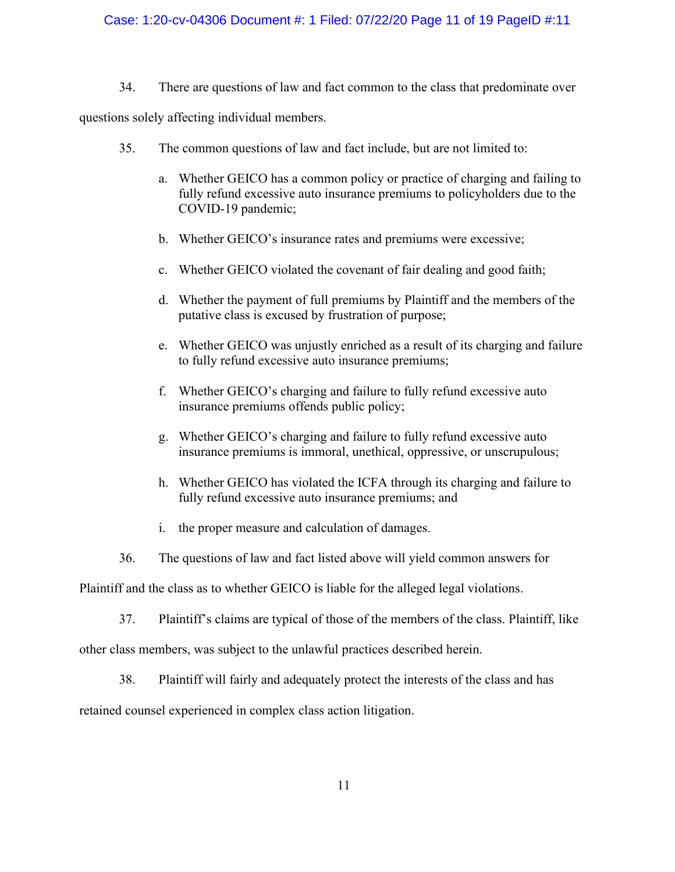# Case: 1:20-cv-04306 Document #: 1 Filed: 07/22/20 Page 11 of 19 PageID #:11

34. There are questions of law and fact common to the class that predominate over

questions solely affecting individual members.

- 35. The common questions of law and fact include, but are not limited to:
	- a. Whether GEICO has a common policy or practice of charging and failing to fully refund excessive auto insurance premiums to policyholders due to the COVID-19 pandemic;
	- b. Whether GEICO's insurance rates and premiums were excessive;
	- c. Whether GEICO violated the covenant of fair dealing and good faith;
	- d. Whether the payment of full premiums by Plaintiff and the members of the putative class is excused by frustration of purpose;
	- e. Whether GEICO was unjustly enriched as a result of its charging and failure to fully refund excessive auto insurance premiums;
	- f. Whether GEICO's charging and failure to fully refund excessive auto insurance premiums offends public policy;
	- g. Whether GEICO's charging and failure to fully refund excessive auto insurance premiums is immoral, unethical, oppressive, or unscrupulous;
	- h. Whether GEICO has violated the ICFA through its charging and failure to fully refund excessive auto insurance premiums; and
	- i. the proper measure and calculation of damages.
- 36. The questions of law and fact listed above will yield common answers for

Plaintiff and the class as to whether GEICO is liable for the alleged legal violations.

37. Plaintiff's claims are typical of those of the members of the class. Plaintiff, like

other class members, was subject to the unlawful practices described herein.

38. Plaintiff will fairly and adequately protect the interests of the class and has

retained counsel experienced in complex class action litigation.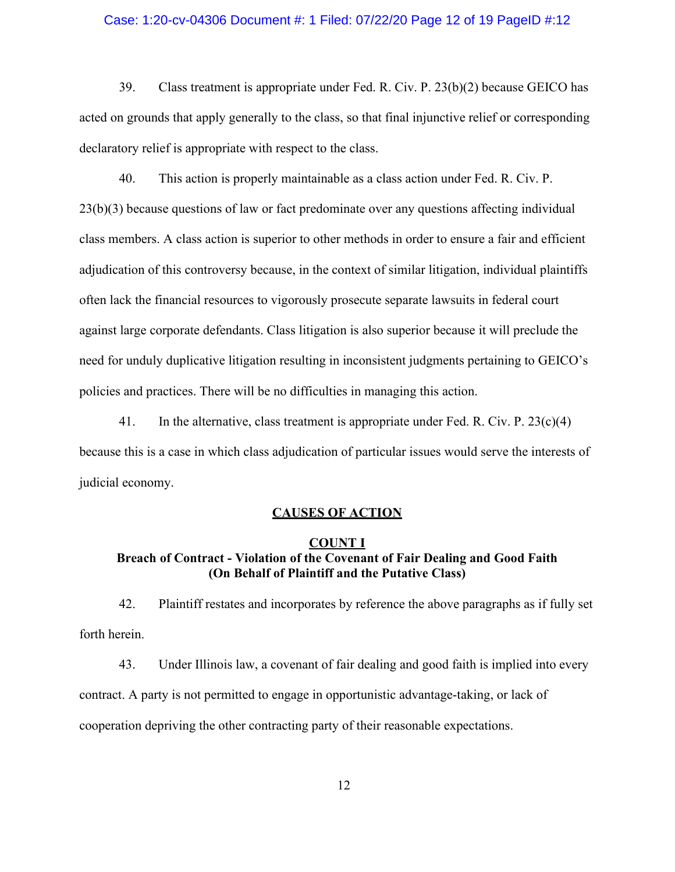#### Case: 1:20-cv-04306 Document #: 1 Filed: 07/22/20 Page 12 of 19 PageID #:12

39. Class treatment is appropriate under Fed. R. Civ. P. 23(b)(2) because GEICO has acted on grounds that apply generally to the class, so that final injunctive relief or corresponding declaratory relief is appropriate with respect to the class.

40. This action is properly maintainable as a class action under Fed. R. Civ. P. 23(b)(3) because questions of law or fact predominate over any questions affecting individual class members. A class action is superior to other methods in order to ensure a fair and efficient adjudication of this controversy because, in the context of similar litigation, individual plaintiffs often lack the financial resources to vigorously prosecute separate lawsuits in federal court against large corporate defendants. Class litigation is also superior because it will preclude the need for unduly duplicative litigation resulting in inconsistent judgments pertaining to GEICO's policies and practices. There will be no difficulties in managing this action.

41. In the alternative, class treatment is appropriate under Fed. R. Civ. P.  $23(c)(4)$ because this is a case in which class adjudication of particular issues would serve the interests of judicial economy.

### **CAUSES OF ACTION**

# **COUNT I Breach of Contract - Violation of the Covenant of Fair Dealing and Good Faith (On Behalf of Plaintiff and the Putative Class)**

42. Plaintiff restates and incorporates by reference the above paragraphs as if fully set forth herein.

43. Under Illinois law, a covenant of fair dealing and good faith is implied into every contract. A party is not permitted to engage in opportunistic advantage-taking, or lack of cooperation depriving the other contracting party of their reasonable expectations.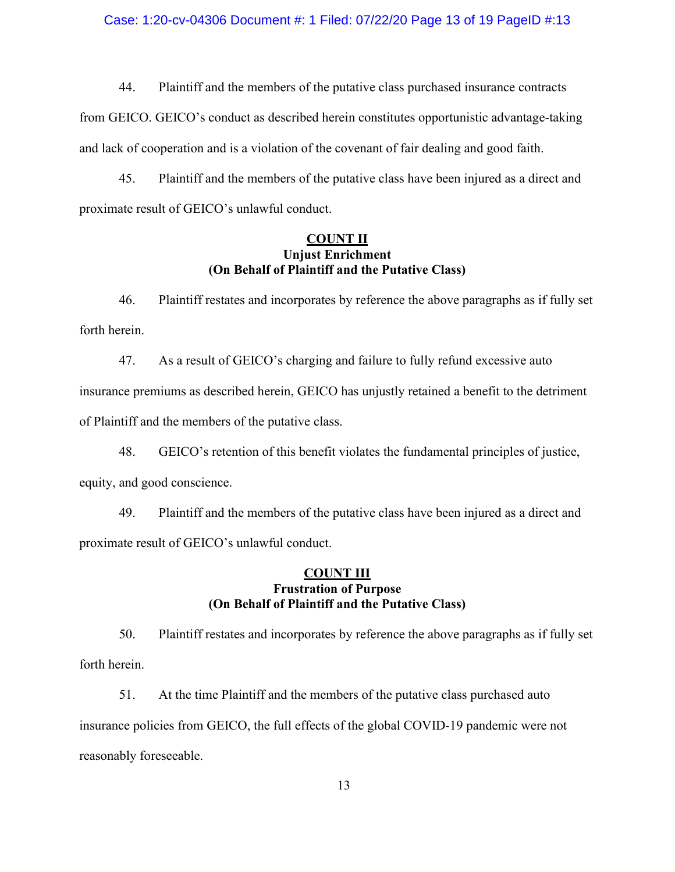#### Case: 1:20-cv-04306 Document #: 1 Filed: 07/22/20 Page 13 of 19 PageID #:13

44. Plaintiff and the members of the putative class purchased insurance contracts from GEICO. GEICO's conduct as described herein constitutes opportunistic advantage-taking and lack of cooperation and is a violation of the covenant of fair dealing and good faith.

45. Plaintiff and the members of the putative class have been injured as a direct and proximate result of GEICO's unlawful conduct.

# **COUNT II Unjust Enrichment (On Behalf of Plaintiff and the Putative Class)**

46. Plaintiff restates and incorporates by reference the above paragraphs as if fully set forth herein.

47. As a result of GEICO's charging and failure to fully refund excessive auto insurance premiums as described herein, GEICO has unjustly retained a benefit to the detriment of Plaintiff and the members of the putative class.

48. GEICO's retention of this benefit violates the fundamental principles of justice, equity, and good conscience.

49. Plaintiff and the members of the putative class have been injured as a direct and proximate result of GEICO's unlawful conduct.

#### **COUNT III Frustration of Purpose (On Behalf of Plaintiff and the Putative Class)**

50. Plaintiff restates and incorporates by reference the above paragraphs as if fully set forth herein.

51. At the time Plaintiff and the members of the putative class purchased auto insurance policies from GEICO, the full effects of the global COVID-19 pandemic were not reasonably foreseeable.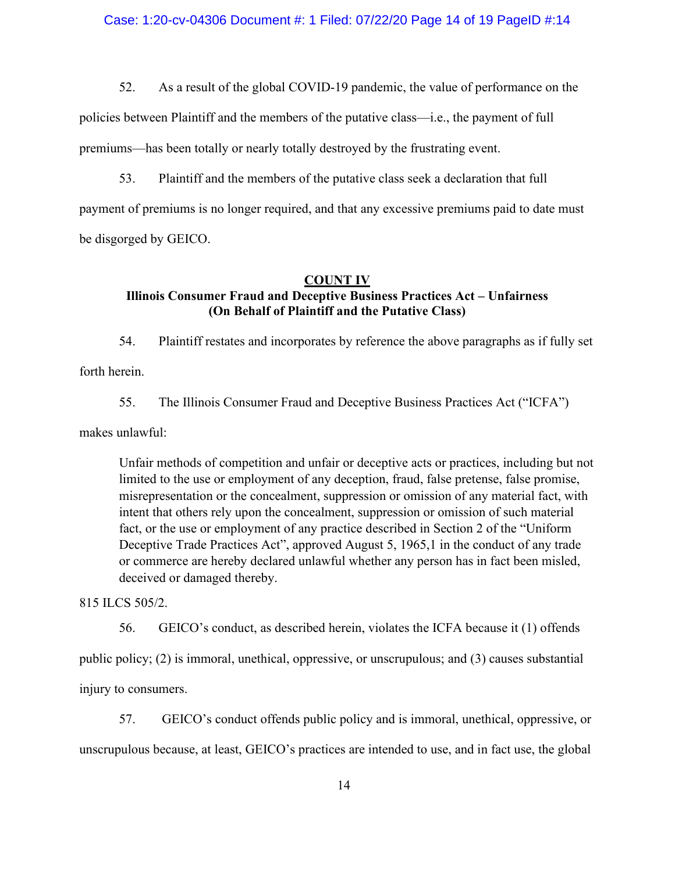52. As a result of the global COVID-19 pandemic, the value of performance on the

policies between Plaintiff and the members of the putative class—i.e., the payment of full premiums—has been totally or nearly totally destroyed by the frustrating event.

53. Plaintiff and the members of the putative class seek a declaration that full payment of premiums is no longer required, and that any excessive premiums paid to date must be disgorged by GEICO.

# **COUNT IV Illinois Consumer Fraud and Deceptive Business Practices Act – Unfairness (On Behalf of Plaintiff and the Putative Class)**

54. Plaintiff restates and incorporates by reference the above paragraphs as if fully set forth herein.

55. The Illinois Consumer Fraud and Deceptive Business Practices Act ("ICFA")

makes unlawful:

Unfair methods of competition and unfair or deceptive acts or practices, including but not limited to the use or employment of any deception, fraud, false pretense, false promise, misrepresentation or the concealment, suppression or omission of any material fact, with intent that others rely upon the concealment, suppression or omission of such material fact, or the use or employment of any practice described in Section 2 of the "Uniform Deceptive Trade Practices Act", approved August 5, 1965,1 in the conduct of any trade or commerce are hereby declared unlawful whether any person has in fact been misled, deceived or damaged thereby.

815 ILCS 505/2.

56. GEICO's conduct, as described herein, violates the ICFA because it (1) offends public policy; (2) is immoral, unethical, oppressive, or unscrupulous; and (3) causes substantial injury to consumers.

57. GEICO's conduct offends public policy and is immoral, unethical, oppressive, or unscrupulous because, at least, GEICO's practices are intended to use, and in fact use, the global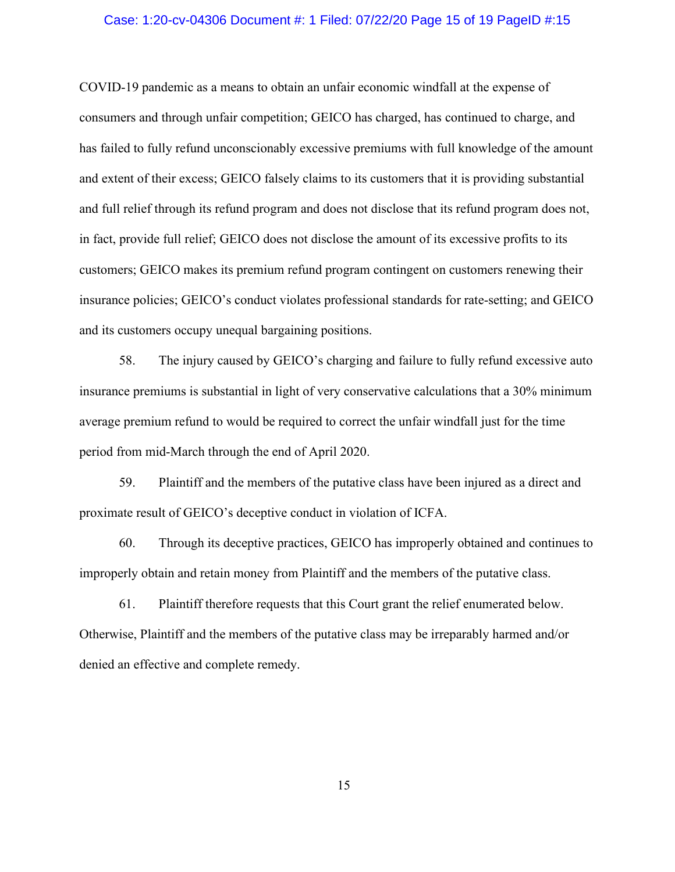#### Case: 1:20-cv-04306 Document #: 1 Filed: 07/22/20 Page 15 of 19 PageID #:15

COVID-19 pandemic as a means to obtain an unfair economic windfall at the expense of consumers and through unfair competition; GEICO has charged, has continued to charge, and has failed to fully refund unconscionably excessive premiums with full knowledge of the amount and extent of their excess; GEICO falsely claims to its customers that it is providing substantial and full relief through its refund program and does not disclose that its refund program does not, in fact, provide full relief; GEICO does not disclose the amount of its excessive profits to its customers; GEICO makes its premium refund program contingent on customers renewing their insurance policies; GEICO's conduct violates professional standards for rate-setting; and GEICO and its customers occupy unequal bargaining positions.

58. The injury caused by GEICO's charging and failure to fully refund excessive auto insurance premiums is substantial in light of very conservative calculations that a 30% minimum average premium refund to would be required to correct the unfair windfall just for the time period from mid-March through the end of April 2020.

59. Plaintiff and the members of the putative class have been injured as a direct and proximate result of GEICO's deceptive conduct in violation of ICFA.

60. Through its deceptive practices, GEICO has improperly obtained and continues to improperly obtain and retain money from Plaintiff and the members of the putative class.

61. Plaintiff therefore requests that this Court grant the relief enumerated below. Otherwise, Plaintiff and the members of the putative class may be irreparably harmed and/or denied an effective and complete remedy.

15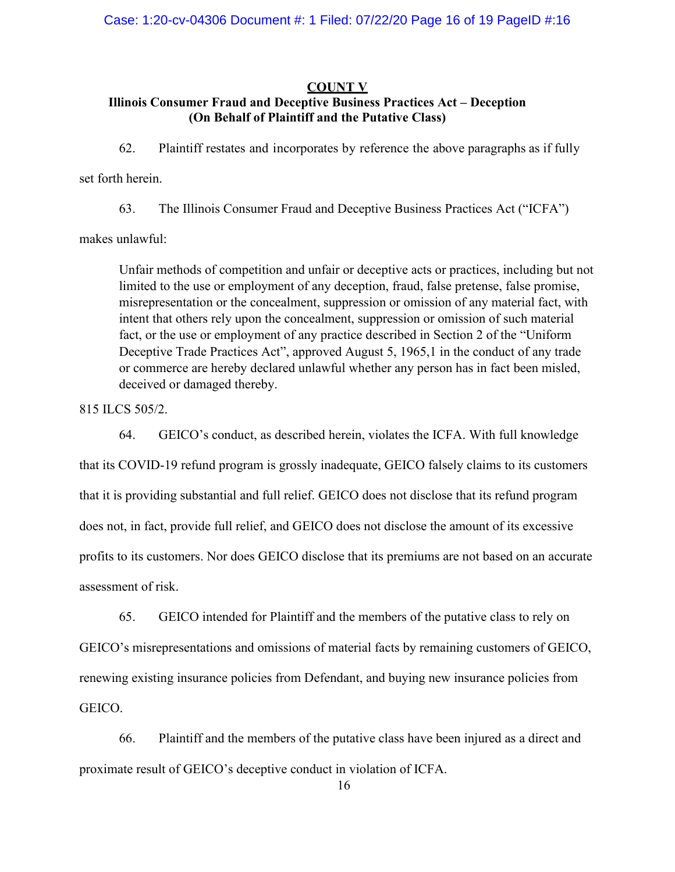### **COUNT V**

# **Illinois Consumer Fraud and Deceptive Business Practices Act – Deception (On Behalf of Plaintiff and the Putative Class)**

62. Plaintiff restates and incorporates by reference the above paragraphs as if fully

set forth herein.

63. The Illinois Consumer Fraud and Deceptive Business Practices Act ("ICFA")

makes unlawful:

Unfair methods of competition and unfair or deceptive acts or practices, including but not limited to the use or employment of any deception, fraud, false pretense, false promise, misrepresentation or the concealment, suppression or omission of any material fact, with intent that others rely upon the concealment, suppression or omission of such material fact, or the use or employment of any practice described in Section 2 of the "Uniform Deceptive Trade Practices Act", approved August 5, 1965,1 in the conduct of any trade or commerce are hereby declared unlawful whether any person has in fact been misled, deceived or damaged thereby.

815 ILCS 505/2.

64. GEICO's conduct, as described herein, violates the ICFA. With full knowledge that its COVID-19 refund program is grossly inadequate, GEICO falsely claims to its customers that it is providing substantial and full relief. GEICO does not disclose that its refund program does not, in fact, provide full relief, and GEICO does not disclose the amount of its excessive profits to its customers. Nor does GEICO disclose that its premiums are not based on an accurate assessment of risk.

65. GEICO intended for Plaintiff and the members of the putative class to rely on GEICO's misrepresentations and omissions of material facts by remaining customers of GEICO, renewing existing insurance policies from Defendant, and buying new insurance policies from GEICO.

66. Plaintiff and the members of the putative class have been injured as a direct and proximate result of GEICO's deceptive conduct in violation of ICFA.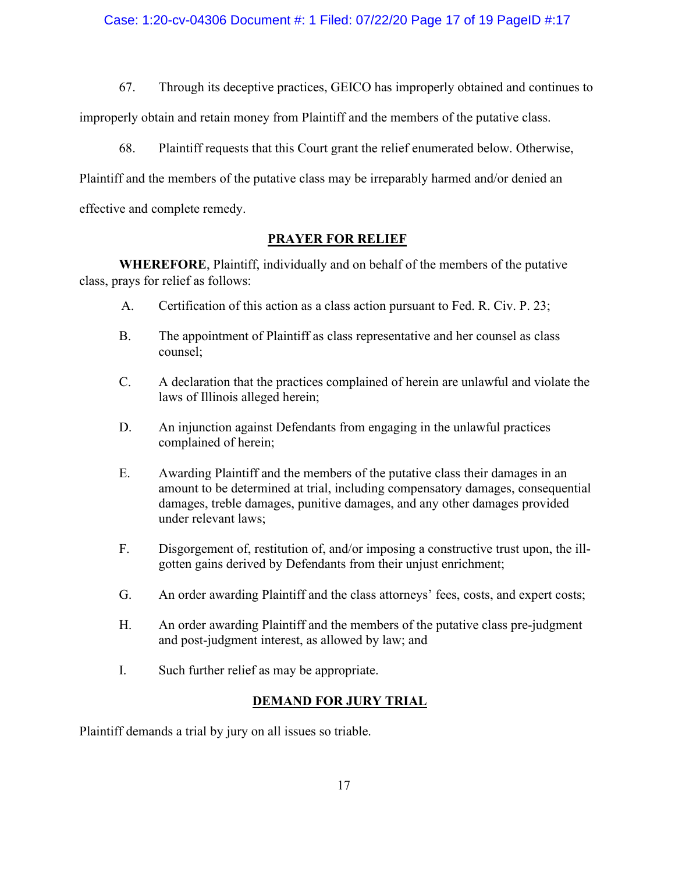# Case: 1:20-cv-04306 Document #: 1 Filed: 07/22/20 Page 17 of 19 PageID #:17

67. Through its deceptive practices, GEICO has improperly obtained and continues to

improperly obtain and retain money from Plaintiff and the members of the putative class.

68. Plaintiff requests that this Court grant the relief enumerated below. Otherwise,

Plaintiff and the members of the putative class may be irreparably harmed and/or denied an

effective and complete remedy.

# **PRAYER FOR RELIEF**

**WHEREFORE**, Plaintiff, individually and on behalf of the members of the putative class, prays for relief as follows:

- A. Certification of this action as a class action pursuant to Fed. R. Civ. P. 23;
- B. The appointment of Plaintiff as class representative and her counsel as class counsel;
- C. A declaration that the practices complained of herein are unlawful and violate the laws of Illinois alleged herein;
- D. An injunction against Defendants from engaging in the unlawful practices complained of herein;
- E. Awarding Plaintiff and the members of the putative class their damages in an amount to be determined at trial, including compensatory damages, consequential damages, treble damages, punitive damages, and any other damages provided under relevant laws;
- F. Disgorgement of, restitution of, and/or imposing a constructive trust upon, the illgotten gains derived by Defendants from their unjust enrichment;
- G. An order awarding Plaintiff and the class attorneys' fees, costs, and expert costs;
- H. An order awarding Plaintiff and the members of the putative class pre-judgment and post-judgment interest, as allowed by law; and
- I. Such further relief as may be appropriate.

# **DEMAND FOR JURY TRIAL**

Plaintiff demands a trial by jury on all issues so triable.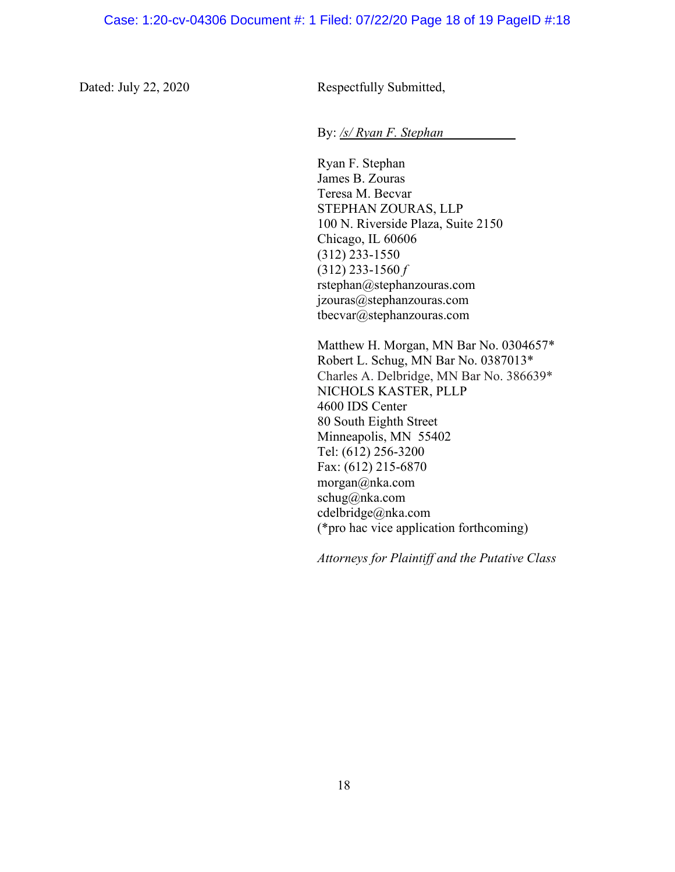Dated: July 22, 2020 Respectfully Submitted,

By: */s/ Ryan F. Stephan*

Ryan F. Stephan James B. Zouras Teresa M. Becvar STEPHAN ZOURAS, LLP 100 N. Riverside Plaza, Suite 2150 Chicago, IL 60606 (312) 233-1550 (312) 233-1560 *f* rstephan@stephanzouras.com jzouras@stephanzouras.com tbecvar@stephanzouras.com

Matthew H. Morgan, MN Bar No. 0304657\* Robert L. Schug, MN Bar No. 0387013\* Charles A. Delbridge, MN Bar No. 386639\* NICHOLS KASTER, PLLP 4600 IDS Center 80 South Eighth Street Minneapolis, MN 55402 Tel: (612) 256-3200 Fax: (612) 215-6870 morgan@nka.com schug@nka.com cdelbridge@nka.com (\*pro hac vice application forthcoming)

*Attorneys for Plaintiff and the Putative Class*